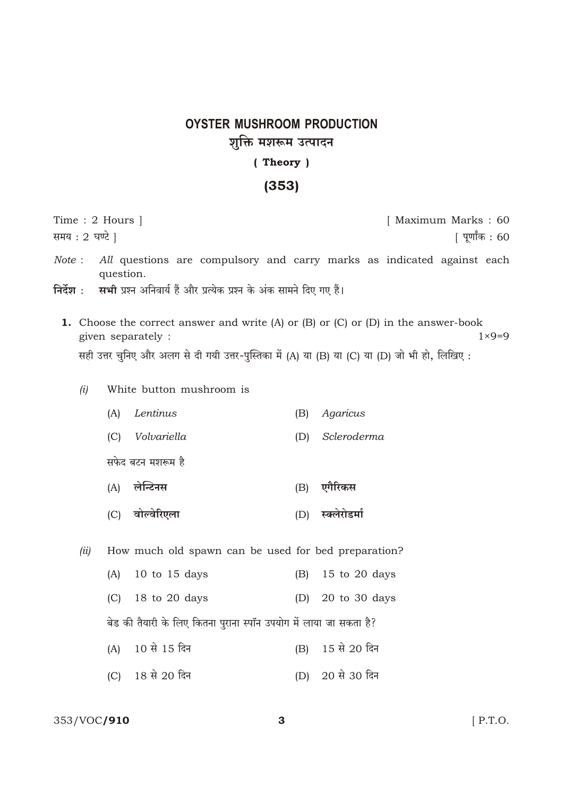# **OYSTER MUSHROOM PRODUCTION** शुक्ति मशरूम उत्पादन (Theory)

# $(353)$

| Time : 2 Hours                    |                                                                                                                                                                                                                                              |           |                                                                     |     | [ Maximum Marks: 60                                                    |
|-----------------------------------|----------------------------------------------------------------------------------------------------------------------------------------------------------------------------------------------------------------------------------------------|-----------|---------------------------------------------------------------------|-----|------------------------------------------------------------------------|
| समय: 2 घण्टे  <br>  पूर्णांक : 60 |                                                                                                                                                                                                                                              |           |                                                                     |     |                                                                        |
| Note:<br>निर्देश :                |                                                                                                                                                                                                                                              | question. | सभी प्रश्न अनिवार्य हैं और प्रत्येक प्रश्न के अंक सामने दिए गए हैं। |     | All questions are compulsory and carry marks as indicated against each |
|                                   | <b>1.</b> Choose the correct answer and write $(A)$ or $(B)$ or $(C)$ or $(D)$ in the answer-book<br>$1 \times 9 = 9$<br>given separately :<br>सही उत्तर चुनिए और अलग से दी गयी उत्तर-पुस्तिका में (A) या (B) या (C) या (D) जो भी हो, लिखिए: |           |                                                                     |     |                                                                        |
|                                   | (i)                                                                                                                                                                                                                                          |           | White button mushroom is                                            |     |                                                                        |
|                                   |                                                                                                                                                                                                                                              | (A)       | Lentinus                                                            | (B) | Agaricus                                                               |
|                                   |                                                                                                                                                                                                                                              | (C)       | Volvariella                                                         | (D) | Scleroderma                                                            |
|                                   |                                                                                                                                                                                                                                              |           | सफेद बटन मशरूम है                                                   |     |                                                                        |
|                                   |                                                                                                                                                                                                                                              | (A)       | लेन्टिनस                                                            | (B) | एगैरिकस                                                                |
|                                   |                                                                                                                                                                                                                                              | (C)       | वोल्वेरिएला                                                         | (D) | स्क्लेरोडर्मा                                                          |
|                                   | (ii)                                                                                                                                                                                                                                         |           | How much old spawn can be used for bed preparation?                 |     |                                                                        |
|                                   |                                                                                                                                                                                                                                              | (A)       | $10$ to $15$ days                                                   | (B) | 15 to 20 days                                                          |
|                                   |                                                                                                                                                                                                                                              | (C)       | 18 to 20 days                                                       | (D) | 20 to 30 days                                                          |
|                                   |                                                                                                                                                                                                                                              |           | बेड की तैयारी के लिए कितना पुराना स्पॉन उपयोग में लाया जा सकता है?  |     |                                                                        |
|                                   |                                                                                                                                                                                                                                              |           |                                                                     |     |                                                                        |

- (A) 10 से 15 दिन (B) 15 से 20 दिन
- (C) 18 से 20 दिन (D) 20 से 30 दिन

## 353/VOC/910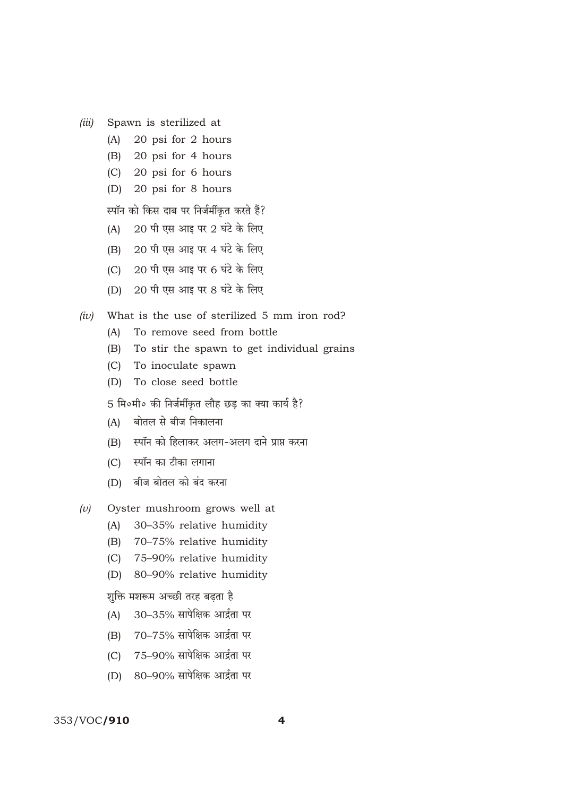- Spawn is sterilized at  $(iii)$ 
	- $(A)$ 20 psi for 2 hours
	- $(B)$ 20 psi for 4 hours
	- 20 psi for 6 hours  $(C)$
	- 20 psi for 8 hours  $(D)$

स्पॉन को किस दाब पर निर्जर्मीकृत करते हैं?

- 20 पी एस आइ पर 2 घंटे के लिए  $(A)$
- 20 पी एस आइ पर 4 घंटे के लिए  $(B)$
- 20 पी एस आइ पर 6 घंटे के लिए  $(C)$
- 20 पी एस आइ पर 8 घंटे के लिए  $(D)$
- What is the use of sterilized 5 mm iron rod?  $(iv)$ 
	- To remove seed from bottle  $(A)$
	- $(B)$ To stir the spawn to get individual grains
	- $(C)$ To inoculate spawn
	- (D) To close seed bottle

5 मि०मी० की निर्जर्मीकृत लौह छड़ का क्या कार्य है?

- बोतल से बीज निकालना  $(A)$
- स्पॉन को हिलाकर अलग-अलग दाने प्राप्त करना  $(B)$
- (C) स्पॉन का टीका लगाना
- (D) बीज बोतल को बंद करना
- Oyster mushroom grows well at  $(v)$ 
	- $(A)$ 30-35% relative humidity
	- (B) 70-75% relative humidity
	- (C) 75-90% relative humidity
	- $(D)$ 80-90% relative humidity

शक्ति मशरूम अच्छी तरह बढता है

- 30-35% सापेक्षिक आर्द्रता पर  $(A)$
- 70-75% सापेक्षिक आर्द्रता पर  $(B)$
- 75-90% सापेक्षिक आर्द्रता पर  $(C)$
- (D) 80-90% सापेक्षिक आर्द्रता पर

### 353/VOC/910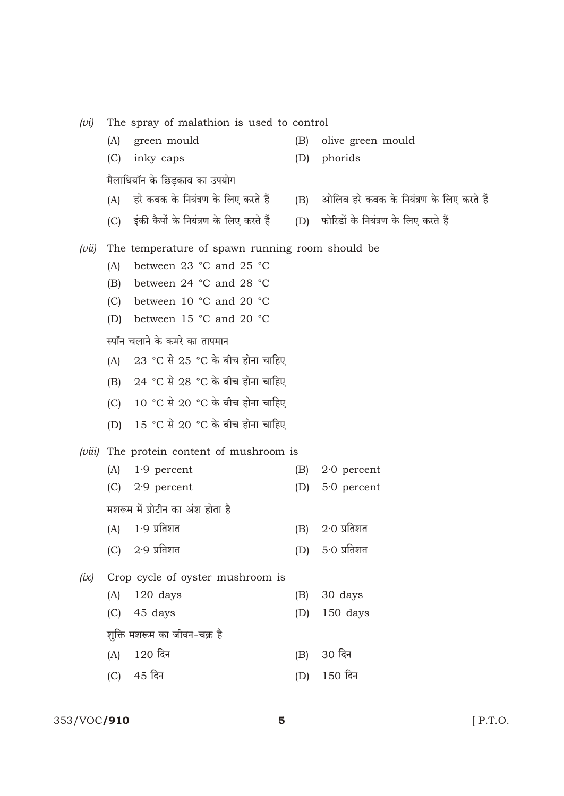| (vi)   | The spray of malathion is used to control        |                                                      |     |                                          |  |  |  |
|--------|--------------------------------------------------|------------------------------------------------------|-----|------------------------------------------|--|--|--|
|        | (A)                                              | green mould                                          | (B) | olive green mould                        |  |  |  |
|        | (C)                                              | inky caps                                            | (D) | phorids                                  |  |  |  |
|        |                                                  | मैलाथियॉन के छिड़काव का उपयोग                        |     |                                          |  |  |  |
|        | (A)                                              | हरे कवक के नियंत्रण के लिए करते हैं                  | (B) | ओलिव हरे कवक के नियंत्रण के लिए करते हैं |  |  |  |
|        |                                                  | (C) इंकी कैपों के नियंत्रण के लिए करते हैं           | (D) | फोरिडों के नियंत्रण के लिए करते हैं      |  |  |  |
| (vii)  | The temperature of spawn running room should be. |                                                      |     |                                          |  |  |  |
|        | (A)                                              | between 23 °C and 25 °C                              |     |                                          |  |  |  |
|        | (B)                                              | between 24 °C and 28 °C                              |     |                                          |  |  |  |
|        | (C)                                              | between 10 °C and 20 °C                              |     |                                          |  |  |  |
|        | (D)                                              | between 15 °C and 20 °C                              |     |                                          |  |  |  |
|        | स्पॉन चलाने के कमरे का तापमान                    |                                                      |     |                                          |  |  |  |
|        | (A)                                              | $23 \text{ °C}$ से $25 \text{ °C}$ के बीच होना चाहिए |     |                                          |  |  |  |
|        | (B)                                              | $24 \degree$ C से $28 \degree$ C के बीच होना चाहिए   |     |                                          |  |  |  |
|        | (C)                                              | $10\degree$ C से 20 °C के बीच होना चाहिए             |     |                                          |  |  |  |
|        | (D)                                              | $15 \text{ °C}$ से $20 \text{ °C}$ के बीच होना चाहिए |     |                                          |  |  |  |
| (viii) | The protein content of mushroom is               |                                                      |     |                                          |  |  |  |
|        | (A)                                              | $1.9$ percent                                        | (B) | $2.0$ percent                            |  |  |  |
|        | (C)                                              | $2.9$ percent                                        | (D) | $5.0$ percent                            |  |  |  |
|        |                                                  | मशरूम में प्रोटीन का अंश होता है                     |     |                                          |  |  |  |
|        | (A)                                              | $1.9$ प्रतिशत                                        | (B) | $2.0$ प्रतिशत                            |  |  |  |
|        | (C)                                              | $2.9$ प्रतिशत                                        | (D) | 5∙0 प्रतिशत                              |  |  |  |
| (ix)   | Crop cycle of oyster mushroom is                 |                                                      |     |                                          |  |  |  |
|        | (A)                                              | 120 days                                             | (B) | 30 days                                  |  |  |  |
|        | (C)                                              | 45 days                                              | (D) | 150 days                                 |  |  |  |
|        | शुक्ति मशरूम का जीवन-चक्र है                     |                                                      |     |                                          |  |  |  |
|        | (A)                                              | 120 दिन                                              | (B) | 30 दिन                                   |  |  |  |
|        | (C)                                              | 45 दिन                                               | (D) | 150 दिन                                  |  |  |  |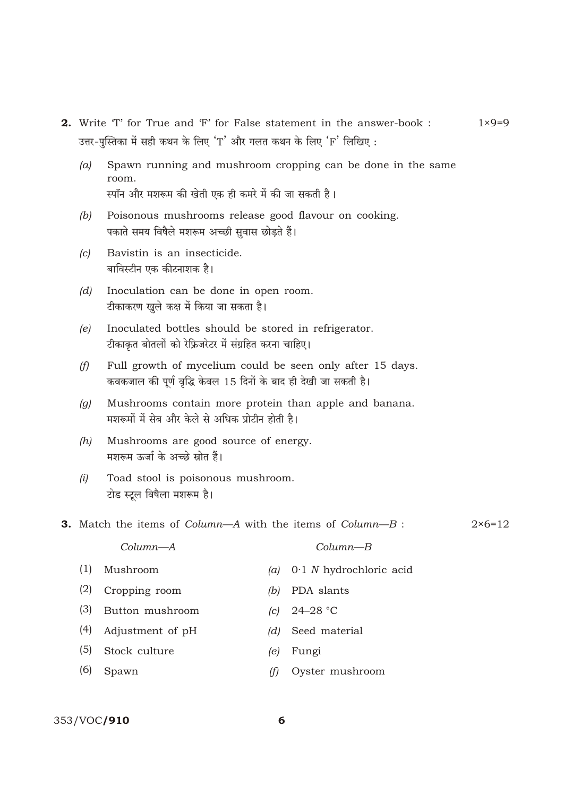- 2. Write 'T' for True and 'F' for False statement in the answer-book :  $1 \times 9 = 9$ उत्तर-पस्तिका में सही कथन के लिए 'T' और गलत कथन के लिए 'F' लिखिए :
	- Spawn running and mushroom cropping can be done in the same  $(a)$ room. स्पॉन और मशरूम की खेती एक ही कमरे में की जा सकती है।
	- $(b)$ Poisonous mushrooms release good flavour on cooking. पकाते समय विषैले मशरूम अच्छी सुवास छोड़ते हैं।
	- Bavistin is an insecticide.  $(c)$ बाविस्टीन एक कीटनाशक है।
	- Inoculation can be done in open room.  $(d)$ टीकाकरण खुले कक्ष में किया जा सकता है।
	- Inoculated bottles should be stored in refrigerator.  $(e)$ टीकाकृत बोतलों को रेफ्रिजरेटर में संग्रहित करना चाहिए।
	- $(f)$ Full growth of mycelium could be seen only after 15 days. कवकजाल की पूर्ण वृद्धि केवल 15 दिनों के बाद ही देखी जा सकती है।
	- Mushrooms contain more protein than apple and banana.  $(q)$ मशरूमों में सेब और केले से अधिक प्रोटीन होती है।
	- Mushrooms are good source of energy.  $(h)$ मशरूम ऊर्जा के अच्छे स्रोत हैं।
	- Toad stool is poisonous mushroom.  $(i)$ टोड स्टूल विषैला मशरूम है।
- **3.** Match the items of *Column* $-A$  with the items of *Column* $-B$ :

 $2 \times 6 = 12$ 

|     | $Column-A$             |     | $Column-B$                    |
|-----|------------------------|-----|-------------------------------|
| (1) | Mushroom               |     | (a) $0.1 N$ hydrochloric acid |
| (2) | Cropping room          | (b) | PDA slants                    |
| (3) | Button mushroom        |     | (c) $24-28$ °C                |
|     | $(4)$ Adjustment of pH | (d) | Seed material                 |
| (5) | Stock culture          | (e) | Fungi                         |
| (6) | Spawn                  |     | Oyster mushroom               |
|     |                        |     |                               |

## 353/VOC/910